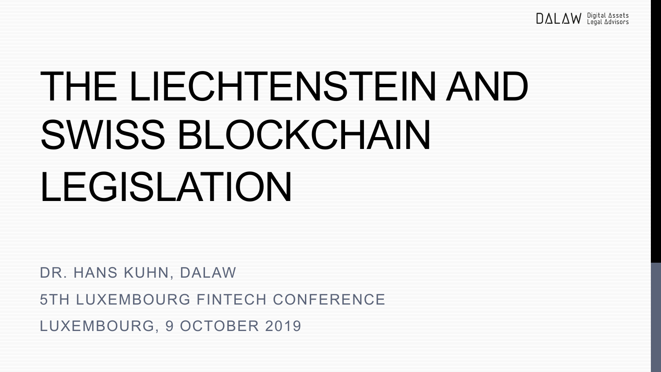## THE LIECHTENSTEIN AND SWISS BLOCKCHAIN LEGISLATION

DR. HANS KUHN, DALAW

5TH LUXEMBOURG FINTECH CONFERENCE

LUXEMBOURG, 9 OCTOBER 2019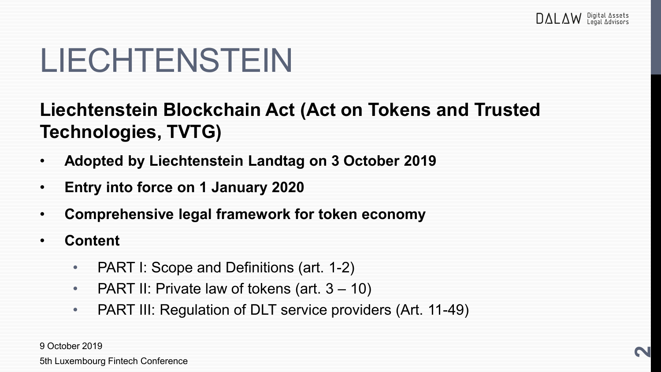#### **Liechtenstein Blockchain Act (Act on Tokens and Trusted Technologies, TVTG)**

- **Adopted by Liechtenstein Landtag on 3 October 2019**
- **Entry into force on 1 January 2020**
- **Comprehensive legal framework for token economy**
- **Content**
	- PART I: Scope and Definitions (art. 1-2)
	- PART II: Private law of tokens (art. 3 10)
	- PART III: Regulation of DLT service providers (Art. 11-49)

9 October 2019

5th Luxembourg Fintech Conference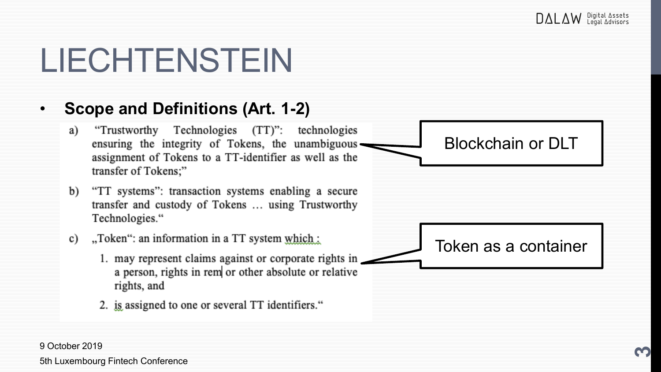#### • **Scope and Definitions (Art. 1-2)**

- "Trustworthy Technologies (TT)": technologies a) ensuring the integrity of Tokens, the unambiguous assignment of Tokens to a TT-identifier as well as the transfer of Tokens;"
- "TT systems": transaction systems enabling a secure b) transfer and custody of Tokens ... using Trustworthy Technologies."
- "Token": an information in a TT system which: c)
	- 1. may represent claims against or corporate rights in a person, rights in rem or other absolute or relative rights, and
	- 2. is assigned to one or several TT identifiers."



9 October 2019 5th Luxembourg Fintech Conference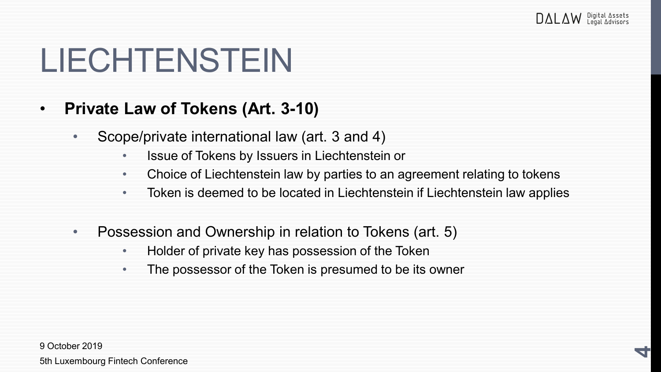#### • **Private Law of Tokens (Art. 3-10)**

- Scope/private international law (art. 3 and 4)
	- Issue of Tokens by Issuers in Liechtenstein or
	- Choice of Liechtenstein law by parties to an agreement relating to tokens
	- Token is deemed to be located in Liechtenstein if Liechtenstein law applies
- Possession and Ownership in relation to Tokens (art. 5)
	- Holder of private key has possession of the Token
	- The possessor of the Token is presumed to be its owner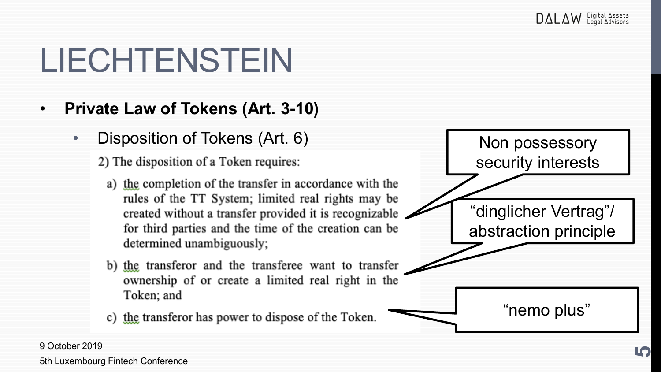"nemo plus"

"dinglicher Vertrag"/

Non possessory

security interests

abstraction principle

### **LIECHTENSTEIN**

#### • **Private Law of Tokens (Art. 3-10)**

• Disposition of Tokens (Art. 6)

2) The disposition of a Token requires:

- a) the completion of the transfer in accordance with the rules of the TT System; limited real rights may be created without a transfer provided it is recognizable for third parties and the time of the creation can be determined unambiguously;
- b) the transferor and the transferee want to transfer ownership of or create a limited real right in the Token; and
- c) the transferor has power to dispose of the Token.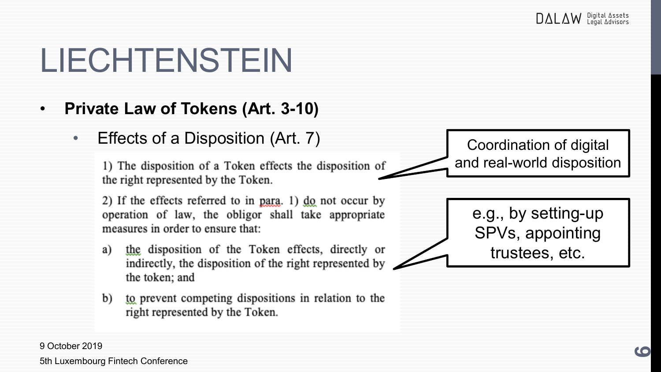#### • **Private Law of Tokens (Art. 3-10)**

• Effects of a Disposition (Art. 7)

1) The disposition of a Token effects the disposition of the right represented by the Token.

2) If the effects referred to in para. 1) do not occur by operation of law, the obligor shall take appropriate measures in order to ensure that:

- the disposition of the Token effects, directly or a) indirectly, the disposition of the right represented by the token; and
- b) to prevent competing dispositions in relation to the right represented by the Token.

Coordination of digital and real-world disposition

> e.g., by setting-up SPVs, appointing trustees, etc.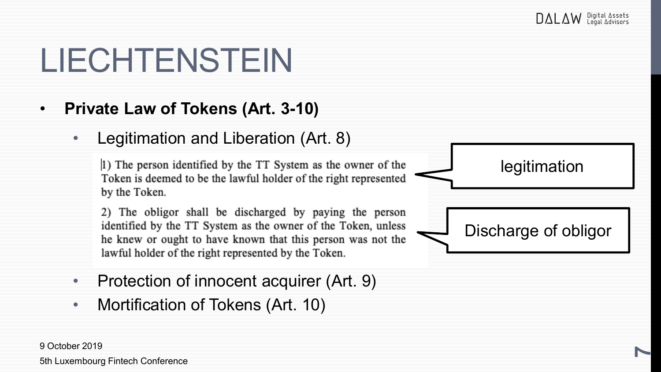#### • **Private Law of Tokens (Art. 3-10)**

• Legitimation and Liberation (Art. 8)

1) The person identified by the TT System as the owner of the Token is deemed to be the lawful holder of the right represented by the Token.

2) The obligor shall be discharged by paying the person identified by the TT System as the owner of the Token, unless he knew or ought to have known that this person was not the lawful holder of the right represented by the Token.

- Protection of innocent acquirer (Art. 9)
- Mortification of Tokens (Art. 10)



9 October 2019 5th Luxembourg Fintech Conference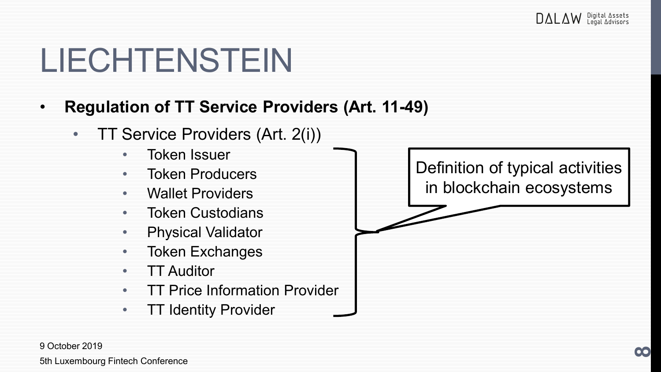- **Regulation of TT Service Providers (Art. 11-49)**
	- TT Service Providers (Art. 2(i))
		- Token Issuer
		- Token Producers
		- Wallet Providers
		- Token Custodians
		- Physical Validator
		- Token Exchanges
		- TT Auditor
		- **TT Price Information Provider**
		- TT Identity Provider

Definition of typical activities in blockchain ecosystems

9 October 2019 5th Luxembourg Fintech Conference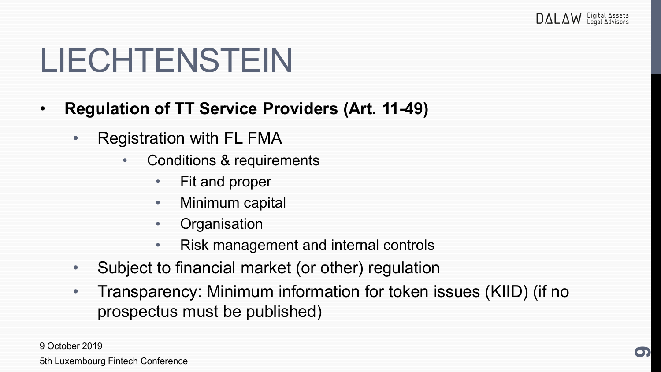- **Regulation of TT Service Providers (Art. 11-49)**
	- Registration with FL FMA
		- Conditions & requirements
			- Fit and proper
			- Minimum capital
			- Organisation
			- Risk management and internal controls
	- Subject to financial market (or other) regulation
	- Transparency: Minimum information for token issues (KIID) (if no prospectus must be published)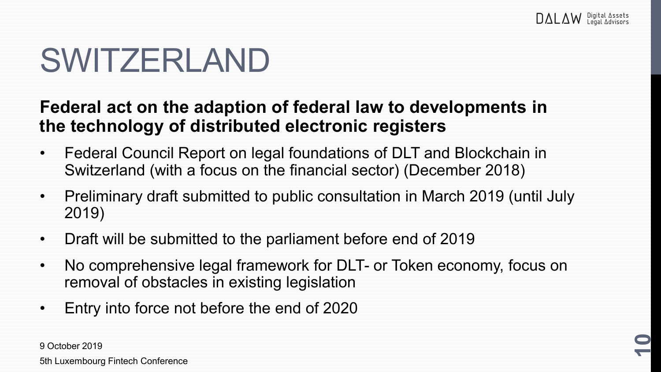#### SWITZERLAND

#### **Federal act on the adaption of federal law to developments in the technology of distributed electronic registers**

- Federal Council Report on legal foundations of DLT and Blockchain in Switzerland (with a focus on the financial sector) (December 2018)
- Preliminary draft submitted to public consultation in March 2019 (until July 2019)
- Draft will be submitted to the parliament before end of 2019
- No comprehensive legal framework for DLT- or Token economy, focus on removal of obstacles in existing legislation
- Entry into force not before the end of 2020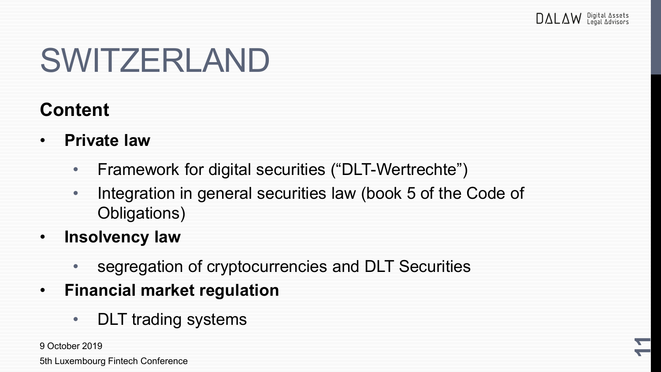**11**

### SWITZERLAND

#### **Content**

- **Private law** 
	- Framework for digital securities ("DLT-Wertrechte")
	- Integration in general securities law (book 5 of the Code of Obligations)
- **Insolvency law** 
	- segregation of cryptocurrencies and DLT Securities
- **Financial market regulation**
	- DLT trading systems

9 October 2019

5th Luxembourg Fintech Conference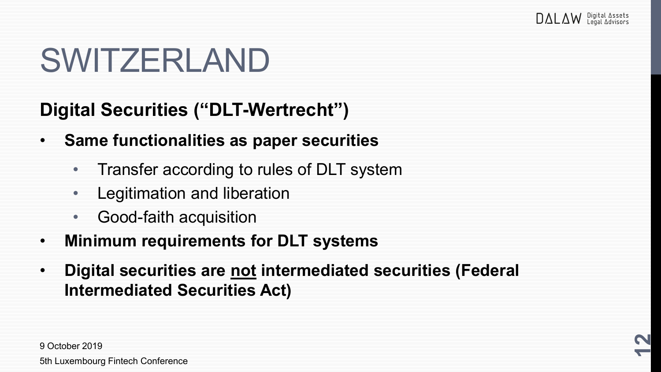### SWITZERLAND

**Digital Securities ("DLT-Wertrecht")**

- **Same functionalities as paper securities**
	- Transfer according to rules of DLT system
	- Legitimation and liberation
	- Good-faith acquisition
- **Minimum requirements for DLT systems**
- **Digital securities are not intermediated securities (Federal Intermediated Securities Act)**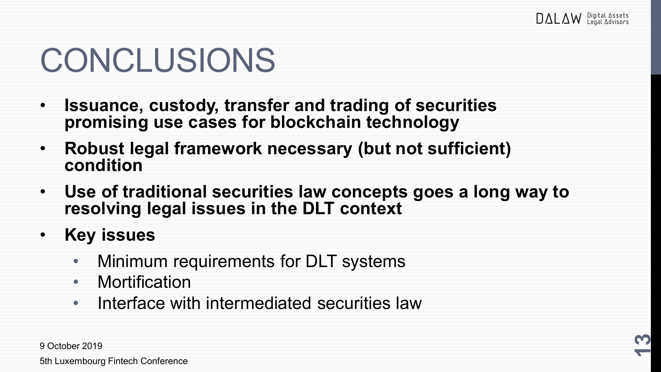#### CONCLUSIONS

- **Issuance, custody, transfer and trading of securities promising use cases for blockchain technology**
- **Robust legal framework necessary (but not sufficient) condition**
- **Use of traditional securities law concepts goes a long way to resolving legal issues in the DLT context**
- **Key issues**
	- Minimum requirements for DLT systems
	- Mortification
	- Interface with intermediated securities law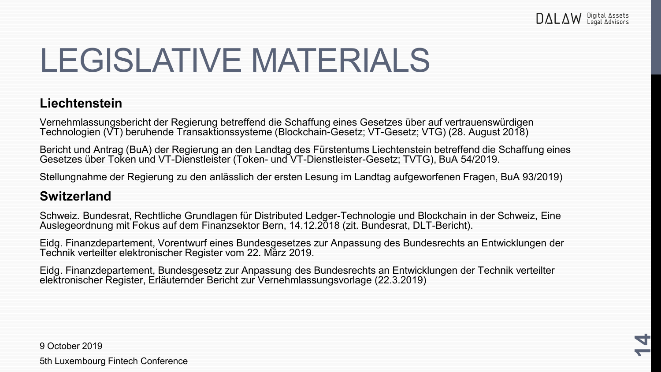**14**

### LEGISLATIVE MATERIALS

#### **Liechtenstein**

Vernehmlassungsbericht der Regierung betreffend die Schaffung eines Gesetzes über auf vertrauenswürdigen Technologien (VT) beruhende Transaktionssysteme (Blockchain-Gesetz; VT-Gesetz; VTG) (28. August 2018)

Bericht und Antrag (BuA) der Regierung an den Landtag des Fürstentums Liechtenstein betreffend die Schaffung eines Gesetzes über Token und VT-Dienstleister (Token- und VT-Dienstleister-Gesetz; TVTG), BuA 54/2019.

Stellungnahme der Regierung zu den anlässlich der ersten Lesung im Landtag aufgeworfenen Fragen, BuA 93/2019)

#### **Switzerland**

Schweiz. Bundesrat, Rechtliche Grundlagen für Distributed Ledger-Technologie und Blockchain in der Schweiz, Eine Auslegeordnung mit Fokus auf dem Finanzsektor Bern, 14.12.2018 (zit. Bundesrat, DLT-Bericht).

Eidg. Finanzdepartement, Vorentwurf eines Bundesgesetzes zur Anpassung des Bundesrechts an Entwicklungen der Technik verteilter elektronischer Register vom 22. März 2019.

Eidg. Finanzdepartement, Bundesgesetz zur Anpassung des Bundesrechts an Entwicklungen der Technik verteilter elektronischer Register, Erläuternder Bericht zur Vernehmlassungsvorlage (22.3.2019)

9 October 2019

5th Luxembourg Fintech Conference